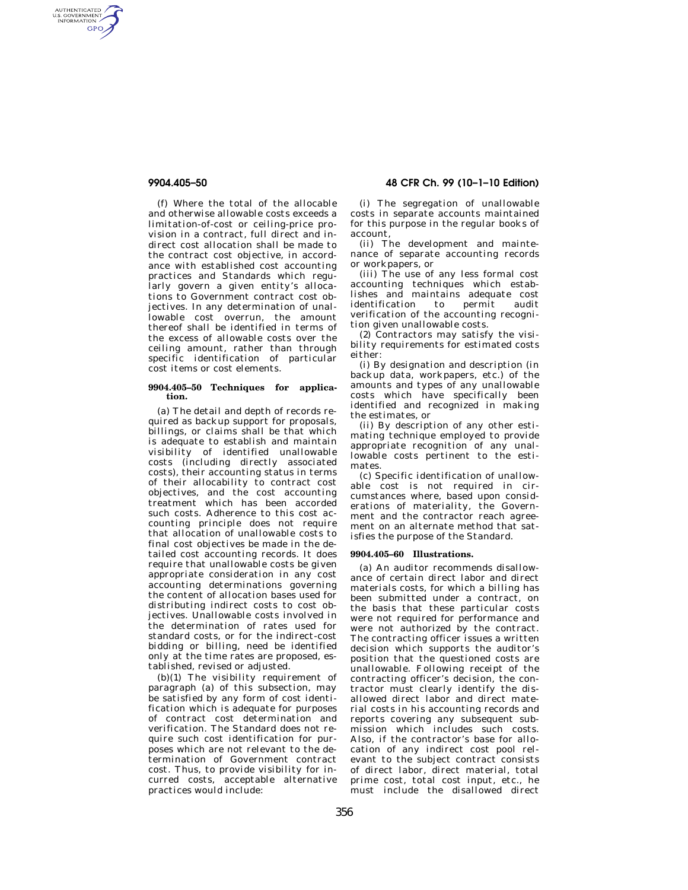AUTHENTICATED<br>U.S. GOVERNMENT<br>INFORMATION **GPO** 

> (f) Where the total of the allocable and otherwise allowable costs exceeds a limitation-of-cost or ceiling-price provision in a contract, full direct and indirect cost allocation shall be made to the contract cost objective, in accordance with established cost accounting practices and Standards which regularly govern a given entity's allocations to Government contract cost objectives. In any determination of unallowable cost overrun, the amount thereof shall be identified in terms of the excess of allowable costs over the ceiling amount, rather than through specific identification of particular cost items or cost elements.

## **9904.405–50 Techniques for application.**

(a) The detail and depth of records required as backup support for proposals, billings, or claims shall be that which is adequate to establish and maintain visibility of identified unallowable costs (including directly associated costs), their accounting status in terms of their allocability to contract cost objectives, and the cost accounting treatment which has been accorded such costs. Adherence to this cost accounting principle does not require that allocation of unallowable costs to final cost objectives be made in the detailed cost accounting records. It does require that unallowable costs be given appropriate consideration in any cost accounting determinations governing the content of allocation bases used for distributing indirect costs to cost objectives. Unallowable costs involved in the determination of rates used for standard costs, or for the indirect-cost bidding or billing, need be identified only at the time rates are proposed, established, revised or adjusted.

(b)(1) The visibility requirement of paragraph (a) of this subsection, may be satisfied by any form of cost identification which is adequate for purposes of contract cost determination and verification. The Standard does not require such cost identification for purposes which are not relevant to the determination of Government contract cost. Thus, to provide visibility for incurred costs, acceptable alternative practices would include:

# **9904.405–50 48 CFR Ch. 99 (10–1–10 Edition)**

(i) The segregation of unallowable costs in separate accounts maintained for this purpose in the regular books of account,

(ii) The development and maintenance of separate accounting records or workpapers, or

(iii) The use of any less formal cost accounting techniques which establishes and maintains adequate cost identification to permit audit verification of the accounting recognition given unallowable costs.

(2) Contractors may satisfy the visibility requirements for estimated costs either:

(i) By designation and description (in backup data, workpapers, etc.) of the amounts and types of any unallowable costs which have specifically been identified and recognized in making the estimates, or

(ii) By description of any other estimating technique employed to provide appropriate recognition of any unallowable costs pertinent to the estimates.

(c) Specific identification of unallowable cost is not required in circumstances where, based upon considerations of materiality, the Government and the contractor reach agreement on an alternate method that satisfies the purpose of the Standard.

## **9904.405–60 Illustrations.**

(a) An auditor recommends disallowance of certain direct labor and direct materials costs, for which a billing has been submitted under a contract, on the basis that these particular costs were not required for performance and were not authorized by the contract. The contracting officer issues a written decision which supports the auditor's position that the questioned costs are unallowable. Following receipt of the contracting officer's decision, the contractor must clearly identify the disallowed direct labor and direct material costs in his accounting records and reports covering any subsequent submission which includes such costs. Also, if the contractor's base for allocation of any indirect cost pool relevant to the subject contract consists of direct labor, direct material, total prime cost, total cost input, etc., he must include the disallowed direct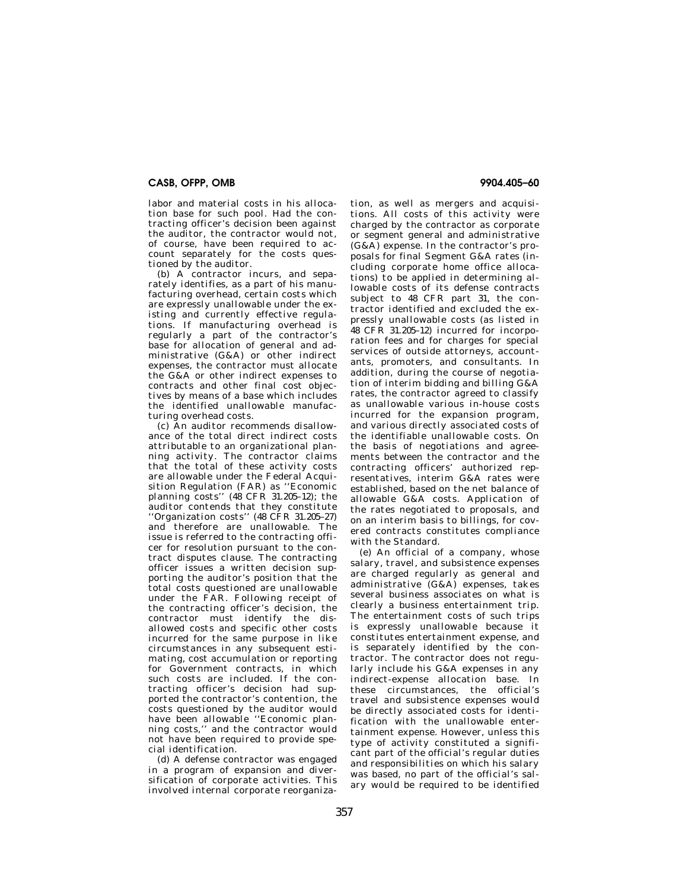# **CASB, OFPP, OMB 9904.405–60**

labor and material costs in his allocation base for such pool. Had the contracting officer's decision been against the auditor, the contractor would not, of course, have been required to account separately for the costs questioned by the auditor.

(b) A contractor incurs, and separately identifies, as a part of his manufacturing overhead, certain costs which are expressly unallowable under the existing and currently effective regulations. If manufacturing overhead is regularly a part of the contractor's base for allocation of general and administrative (G&A) or other indirect expenses, the contractor must allocate the G&A or other indirect expenses to contracts and other final cost objectives by means of a base which includes the identified unallowable manufacturing overhead costs.

(c) An auditor recommends disallowance of the total direct indirect costs attributable to an organizational planning activity. The contractor claims that the total of these activity costs are allowable under the Federal Acquisition Regulation (FAR) as ''Economic planning costs'' (48 CFR 31.205–12); the auditor contends that they constitute ''Organization costs'' (48 CFR 31.205–27) and therefore are unallowable. The issue is referred to the contracting officer for resolution pursuant to the contract disputes clause. The contracting officer issues a written decision supporting the auditor's position that the total costs questioned are unallowable under the FAR. Following receipt of the contracting officer's decision, the contractor must identify the disallowed costs and specific other costs incurred for the same purpose in like circumstances in any subsequent estimating, cost accumulation or reporting for Government contracts, in which such costs are included. If the contracting officer's decision had supported the contractor's contention, the costs questioned by the auditor would have been allowable ''Economic planning costs,'' and the contractor would not have been required to provide special identification.

(d) A defense contractor was engaged in a program of expansion and diversification of corporate activities. This involved internal corporate reorganiza-

tion, as well as mergers and acquisitions. All costs of this activity were charged by the contractor as corporate or segment general and administrative (G&A) expense. In the contractor's proposals for final Segment G&A rates (including corporate home office allocations) to be applied in determining allowable costs of its defense contracts subject to 48 CFR part 31, the contractor identified and excluded the expressly unallowable costs (as listed in 48 CFR 31.205–12) incurred for incorporation fees and for charges for special services of outside attorneys, accountants, promoters, and consultants. In addition, during the course of negotiation of interim bidding and billing G&A rates, the contractor agreed to classify as unallowable various in-house costs incurred for the expansion program, and various directly associated costs of the identifiable unallowable costs. On the basis of negotiations and agreements between the contractor and the contracting officers' authorized representatives, interim G&A rates were established, based on the net balance of allowable G&A costs. Application of the rates negotiated to proposals, and on an interim basis to billings, for covered contracts constitutes compliance with the Standard.

(e) An official of a company, whose salary, travel, and subsistence expenses are charged regularly as general and administrative (G&A) expenses, takes several business associates on what is clearly a business entertainment trip. The entertainment costs of such trips is expressly unallowable because it constitutes entertainment expense, and is separately identified by the contractor. The contractor does not regularly include his G&A expenses in any indirect-expense allocation base. In these circumstances, the official's travel and subsistence expenses would be directly associated costs for identification with the unallowable entertainment expense. However, unless this type of activity constituted a significant part of the official's regular duties and responsibilities on which his salary was based, no part of the official's salary would be required to be identified